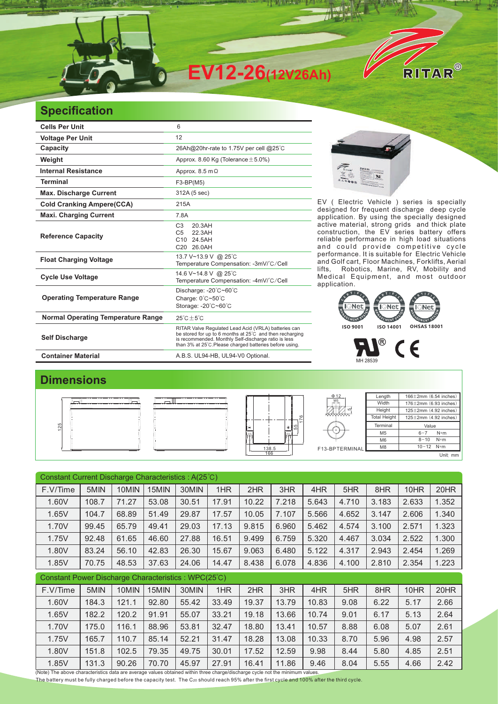

## **Specification**

| <b>Cells Per Unit</b>                     | 6                                                                                                                                                                                                                                   |  |  |  |  |  |
|-------------------------------------------|-------------------------------------------------------------------------------------------------------------------------------------------------------------------------------------------------------------------------------------|--|--|--|--|--|
| <b>Voltage Per Unit</b>                   | 12                                                                                                                                                                                                                                  |  |  |  |  |  |
| <b>Capacity</b>                           | 26Ah@20hr-rate to 1.75V per cell @25°C                                                                                                                                                                                              |  |  |  |  |  |
| Weight                                    | Approx. 8.60 Kg (Tolerance $\pm$ 5.0%)                                                                                                                                                                                              |  |  |  |  |  |
| <b>Internal Resistance</b>                | Approx. $8.5 \text{ m}\Omega$                                                                                                                                                                                                       |  |  |  |  |  |
| <b>Terminal</b>                           | $F3-BP(M5)$                                                                                                                                                                                                                         |  |  |  |  |  |
| <b>Max. Discharge Current</b>             | 312A (5 sec)                                                                                                                                                                                                                        |  |  |  |  |  |
| <b>Cold Cranking Ampere(CCA)</b>          | 215A                                                                                                                                                                                                                                |  |  |  |  |  |
| <b>Maxi. Charging Current</b>             | 7.8A                                                                                                                                                                                                                                |  |  |  |  |  |
| <b>Reference Capacity</b>                 | 20.3AH<br>C <sub>3</sub><br>22.3AH<br>C <sub>5</sub><br>C10 24.5AH<br>C20 26.0AH                                                                                                                                                    |  |  |  |  |  |
| <b>Float Charging Voltage</b>             | 13.7 V~13.9 V @ 25°C<br>Temperature Compensation: -3mV/°C/Cell                                                                                                                                                                      |  |  |  |  |  |
| <b>Cycle Use Voltage</b>                  | 14.6 V~14.8 V @ 25°C<br>Temperature Compensation: -4mV/°C/Cell                                                                                                                                                                      |  |  |  |  |  |
| <b>Operating Temperature Range</b>        | Discharge: -20°C~60°C<br>Charge: 0°C~50°C<br>Storage: -20°C~60°C                                                                                                                                                                    |  |  |  |  |  |
| <b>Normal Operating Temperature Range</b> | $25^{\circ}$ C + 5 $^{\circ}$ C                                                                                                                                                                                                     |  |  |  |  |  |
| <b>Self Discharge</b>                     | RITAR Valve Regulated Lead Acid (VRLA) batteries can<br>be stored for up to 6 months at 25°C and then recharging<br>is recommended. Monthly Self-discharge ratio is less<br>than 3% at 25°C. Please charged batteries before using. |  |  |  |  |  |
| <b>Container Material</b>                 | A.B.S. UL94-HB, UL94-V0 Optional.                                                                                                                                                                                                   |  |  |  |  |  |



EV ( Electric Vehicle ) series is specially designed for frequent discharge deep cycle application. By using the specially designed active material, strong grids and thick plate construction, the EV series battery offers reliable performance in high load situations and could provide competitive cycle performance. It is suitable for Electric Vehicle and Golf cart, Floor Machines, Forklifts, Aerial lifts, Robotics, Marine, RV, Mobility and Medical Equipment, and most outdoor application. It is suitable for





## **Dimensions**

|  | ______________________ | $\Phi$ 12      | Length              | $166 \pm 2$ mm $(6.54$ inches) |
|--|------------------------|----------------|---------------------|--------------------------------|
|  |                        | M5<br>$-11$    | Width               | $176 \pm 2$ mm (6.93 inches)   |
|  |                        | *************  | Height              | $125 \pm 2$ mm $(4.92$ inches) |
|  | ⊛∥ ¦β<br>IΘ            |                | <b>Total Height</b> | $125 \pm 2$ mm $(4.92$ inches) |
|  |                        |                | Terminal            | Value                          |
|  | <u> 1@+</u>            |                | M <sub>5</sub>      | $6 - 7$<br>$N*m$               |
|  | ----------------       |                | M <sub>6</sub>      | $8 - 10$ N*m                   |
|  | 138.5                  | F13-BPTERMINAL | M <sub>8</sub>      | $10 - 12$ N*m                  |
|  | 166                    |                |                     | Unit: mm                       |

| Constant Current Discharge Characteristics: A(25°C)                                                                                    |       |       |       |       |       |       |       |       |       |       |       |       |
|----------------------------------------------------------------------------------------------------------------------------------------|-------|-------|-------|-------|-------|-------|-------|-------|-------|-------|-------|-------|
| F.V/Time                                                                                                                               | 5MIN  | 10MIN | 15MIN | 30MIN | 1HR   | 2HR   | 3HR   | 4HR   | 5HR   | 8HR   | 10HR  | 20HR  |
| 1.60V                                                                                                                                  | 108.7 | 71.27 | 53.08 | 30.51 | 17.91 | 10.22 | 7.218 | 5.643 | 4.710 | 3.183 | 2.633 | 1.352 |
| 1.65V                                                                                                                                  | 104.7 | 68.89 | 51.49 | 29.87 | 17.57 | 10.05 | 7.107 | 5.566 | 4.652 | 3.147 | 2.606 | 1.340 |
| 1.70V                                                                                                                                  | 99.45 | 65.79 | 49.41 | 29.03 | 17.13 | 9.815 | 6.960 | 5.462 | 4.574 | 3.100 | 2.571 | 1.323 |
| 1.75V                                                                                                                                  | 92.48 | 61.65 | 46.60 | 27.88 | 16.51 | 9.499 | 6.759 | 5.320 | 4.467 | 3.034 | 2.522 | 1.300 |
| 1.80V                                                                                                                                  | 83.24 | 56.10 | 42.83 | 26.30 | 15.67 | 9.063 | 6.480 | 5.122 | 4.317 | 2.943 | 2.454 | 1.269 |
| 1.85V                                                                                                                                  | 70.75 | 48.53 | 37.63 | 24.06 | 14.47 | 8.438 | 6.078 | 4.836 | 4.100 | 2.810 | 2.354 | 1.223 |
| Constant Power Discharge Characteristics: WPC(25°C)                                                                                    |       |       |       |       |       |       |       |       |       |       |       |       |
| F.V/Time                                                                                                                               | 5MIN  | 10MIN | 15MIN | 30MIN | 1HR   | 2HR   | 3HR   | 4HR   | 5HR   | 8HR   | 10HR  | 20HR  |
| 1.60V                                                                                                                                  | 184.3 | 121.1 | 92.80 | 55.42 | 33.49 | 19.37 | 13.79 | 10.83 | 9.08  | 6.22  | 5.17  | 2.66  |
| 1.65V                                                                                                                                  | 182.2 | 120.2 | 91.91 | 55.07 | 33.21 | 19.18 | 13.66 | 10.74 | 9.01  | 6.17  | 5.13  | 2.64  |
| 1.70V                                                                                                                                  | 175.0 | 116.1 | 88.96 | 53.81 | 32.47 | 18.80 | 13.41 | 10.57 | 8.88  | 6.08  | 5.07  | 2.61  |
| 1.75V                                                                                                                                  | 165.7 | 110.7 | 85.14 | 52.21 | 31.47 | 18.28 | 13.08 | 10.33 | 8.70  | 5.96  | 4.98  | 2.57  |
| 1.80V                                                                                                                                  | 151.8 | 102.5 | 79.35 | 49.75 | 30.01 | 17.52 | 12.59 | 9.98  | 8.44  | 5.80  | 4.85  | 2.51  |
| 1.85V<br>(Note) The above characteristics data are average values obtained within three charge/discharge cycle not the minimum values. | 131.3 | 90.26 | 70.70 | 45.97 | 27.91 | 16.41 | 11.86 | 9.46  | 8.04  | 5.55  | 4.66  | 2.42  |

The battery must be fully charged before the capacity test. The C20 should reach 95% after the first cycle and 100% after the third cycle.